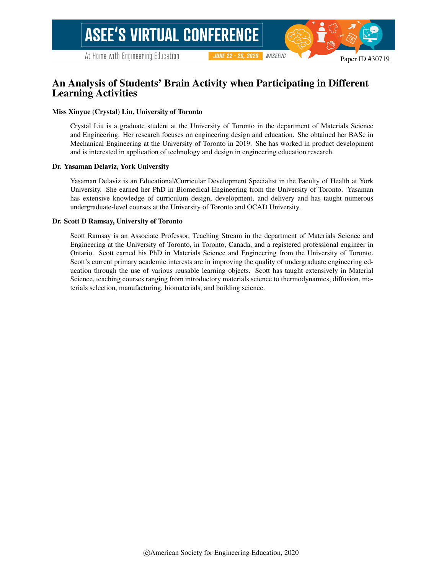# An Analysis of Students' Brain Activity when Participating in Different Learning Activities

#### Miss Xinyue (Crystal) Liu, University of Toronto

Crystal Liu is a graduate student at the University of Toronto in the department of Materials Science and Engineering. Her research focuses on engineering design and education. She obtained her BASc in Mechanical Engineering at the University of Toronto in 2019. She has worked in product development and is interested in application of technology and design in engineering education research.

**JUNE 22 - 26, 2020** 

#ASEEVC

#### Dr. Yasaman Delaviz, York University

Yasaman Delaviz is an Educational/Curricular Development Specialist in the Faculty of Health at York University. She earned her PhD in Biomedical Engineering from the University of Toronto. Yasaman has extensive knowledge of curriculum design, development, and delivery and has taught numerous undergraduate-level courses at the University of Toronto and OCAD University.

#### Dr. Scott D Ramsay, University of Toronto

Scott Ramsay is an Associate Professor, Teaching Stream in the department of Materials Science and Engineering at the University of Toronto, in Toronto, Canada, and a registered professional engineer in Ontario. Scott earned his PhD in Materials Science and Engineering from the University of Toronto. Scott's current primary academic interests are in improving the quality of undergraduate engineering education through the use of various reusable learning objects. Scott has taught extensively in Material Science, teaching courses ranging from introductory materials science to thermodynamics, diffusion, materials selection, manufacturing, biomaterials, and building science.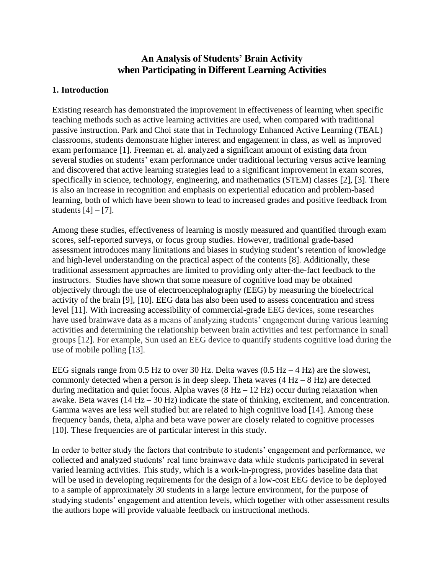# **An Analysis of Students' Brain Activity when Participating in Different Learning Activities**

### **1. Introduction**

Existing research has demonstrated the improvement in effectiveness of learning when specific teaching methods such as active learning activities are used, when compared with traditional passive instruction. Park and Choi state that in Technology Enhanced Active Learning (TEAL) classrooms, students demonstrate higher interest and engagement in class, as well as improved exam performance [1]. Freeman et. al. analyzed a significant amount of existing data from several studies on students' exam performance under traditional lecturing versus active learning and discovered that active learning strategies lead to a significant improvement in exam scores, specifically in science, technology, engineering, and mathematics (STEM) classes [2], [3]. There is also an increase in recognition and emphasis on experiential education and problem-based learning, both of which have been shown to lead to increased grades and positive feedback from students  $[4] - [7]$ .

Among these studies, effectiveness of learning is mostly measured and quantified through exam scores, self-reported surveys, or focus group studies. However, traditional grade-based assessment introduces many limitations and biases in studying student's retention of knowledge and high-level understanding on the practical aspect of the contents [8]. Additionally, these traditional assessment approaches are limited to providing only after-the-fact feedback to the instructors. Studies have shown that some measure of cognitive load may be obtained objectively through the use of electroencephalography (EEG) by measuring the bioelectrical activity of the brain [9], [10]. EEG data has also been used to assess concentration and stress level [11]. With increasing accessibility of commercial-grade EEG devices, some researches have used brainwave data as a means of analyzing students' engagement during various learning activities and determining the relationship between brain activities and test performance in small groups [12]. For example, Sun used an EEG device to quantify students cognitive load during the use of mobile polling [13].

EEG signals range from 0.5 Hz to over 30 Hz. Delta waves  $(0.5 \text{ Hz} - 4 \text{ Hz})$  are the slowest, commonly detected when a person is in deep sleep. Theta waves  $(4 Hz - 8 Hz)$  are detected during meditation and quiet focus. Alpha waves  $(8 Hz - 12 Hz)$  occur during relaxation when awake. Beta waves (14 Hz – 30 Hz) indicate the state of thinking, excitement, and concentration. Gamma waves are less well studied but are related to high cognitive load [14]. Among these frequency bands, theta, alpha and beta wave power are closely related to cognitive processes [10]. These frequencies are of particular interest in this study.

In order to better study the factors that contribute to students' engagement and performance, we collected and analyzed students' real time brainwave data while students participated in several varied learning activities. This study, which is a work-in-progress, provides baseline data that will be used in developing requirements for the design of a low-cost EEG device to be deployed to a sample of approximately 30 students in a large lecture environment, for the purpose of studying students' engagement and attention levels, which together with other assessment results the authors hope will provide valuable feedback on instructional methods.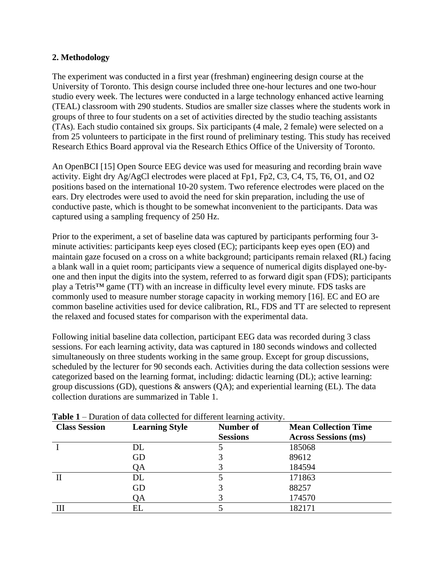### **2. Methodology**

The experiment was conducted in a first year (freshman) engineering design course at the University of Toronto. This design course included three one-hour lectures and one two-hour studio every week. The lectures were conducted in a large technology enhanced active learning (TEAL) classroom with 290 students. Studios are smaller size classes where the students work in groups of three to four students on a set of activities directed by the studio teaching assistants (TAs). Each studio contained six groups. Six participants (4 male, 2 female) were selected on a from 25 volunteers to participate in the first round of preliminary testing. This study has received Research Ethics Board approval via the Research Ethics Office of the University of Toronto.

An OpenBCI [15] Open Source EEG device was used for measuring and recording brain wave activity. Eight dry Ag/AgCl electrodes were placed at Fp1, Fp2, C3, C4, T5, T6, O1, and O2 positions based on the international 10-20 system. Two reference electrodes were placed on the ears. Dry electrodes were used to avoid the need for skin preparation, including the use of conductive paste, which is thought to be somewhat inconvenient to the participants. Data was captured using a sampling frequency of 250 Hz.

Prior to the experiment, a set of baseline data was captured by participants performing four 3 minute activities: participants keep eyes closed (EC); participants keep eyes open (EO) and maintain gaze focused on a cross on a white background; participants remain relaxed (RL) facing a blank wall in a quiet room; participants view a sequence of numerical digits displayed one-byone and then input the digits into the system, referred to as forward digit span (FDS); participants play a Tetris™ game (TT) with an increase in difficulty level every minute. FDS tasks are commonly used to measure number storage capacity in working memory [16]. EC and EO are common baseline activities used for device calibration, RL, FDS and TT are selected to represent the relaxed and focused states for comparison with the experimental data.

Following initial baseline data collection, participant EEG data was recorded during 3 class sessions. For each learning activity, data was captured in 180 seconds windows and collected simultaneously on three students working in the same group. Except for group discussions, scheduled by the lecturer for 90 seconds each. Activities during the data collection sessions were categorized based on the learning format, including: didactic learning (DL); active learning: group discussions (GD), questions & answers (QA); and experiential learning (EL). The data collection durations are summarized in Table 1.

| <b>Class Session</b> | <b>Learning Style</b> | Number of       | <b>Mean Collection Time</b> |
|----------------------|-----------------------|-----------------|-----------------------------|
|                      |                       | <b>Sessions</b> | <b>Across Sessions (ms)</b> |
|                      | DL                    |                 | 185068                      |
|                      | GD                    |                 | 89612                       |
|                      | QA                    |                 | 184594                      |
|                      | DL                    |                 | 171863                      |
|                      | GD                    |                 | 88257                       |
|                      | QA                    |                 | 174570                      |
|                      | ЕI                    |                 | 182171                      |

**Table 1** – Duration of data collected for different learning activity.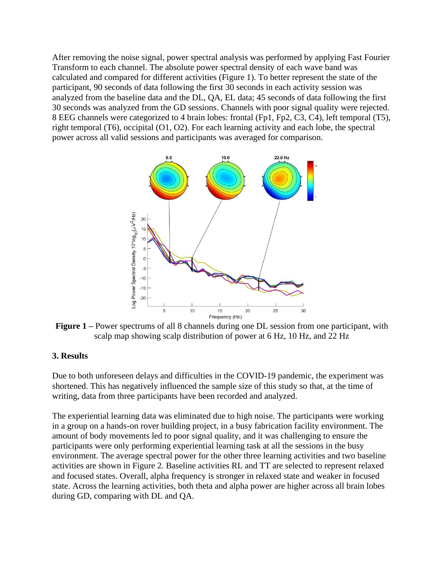After removing the noise signal, power spectral analysis was performed by applying Fast Fourier Transform to each channel. The absolute power spectral density of each wave band was calculated and compared for different activities (Figure 1). To better represent the state of the participant, 90 seconds of data following the first 30 seconds in each activity session was analyzed from the baseline data and the DL, QA, EL data; 45 seconds of data following the first 30 seconds was analyzed from the GD sessions. Channels with poor signal quality were rejected. 8 EEG channels were categorized to 4 brain lobes: frontal (Fp1, Fp2, C3, C4), left temporal (T5), right temporal (T6), occipital (O1, O2). For each learning activity and each lobe, the spectral power across all valid sessions and participants was averaged for comparison.



**Figure 1 –** Power spectrums of all 8 channels during one DL session from one participant, with scalp map showing scalp distribution of power at 6 Hz, 10 Hz, and 22 Hz

### **3. Results**

Due to both unforeseen delays and difficulties in the COVID-19 pandemic, the experiment was shortened. This has negatively influenced the sample size of this study so that, at the time of writing, data from three participants have been recorded and analyzed.

The experiential learning data was eliminated due to high noise. The participants were working in a group on a hands-on rover building project, in a busy fabrication facility environment. The amount of body movements led to poor signal quality, and it was challenging to ensure the participants were only performing experiential learning task at all the sessions in the busy environment. The average spectral power for the other three learning activities and two baseline activities are shown in Figure 2. Baseline activities RL and TT are selected to represent relaxed and focused states. Overall, alpha frequency is stronger in relaxed state and weaker in focused state. Across the learning activities, both theta and alpha power are higher across all brain lobes during GD, comparing with DL and QA.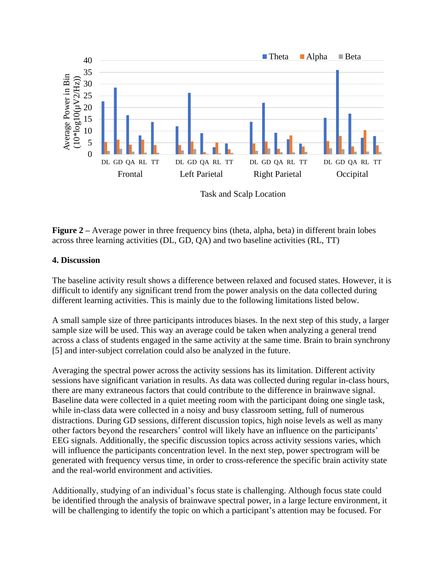

Task and Scalp Location

**Figure 2** – Average power in three frequency bins (theta, alpha, beta) in different brain lobes across three learning activities (DL, GD, QA) and two baseline activities (RL, TT)

#### **4. Discussion**

The baseline activity result shows a difference between relaxed and focused states. However, it is difficult to identify any significant trend from the power analysis on the data collected during different learning activities. This is mainly due to the following limitations listed below.

A small sample size of three participants introduces biases. In the next step of this study, a larger sample size will be used. This way an average could be taken when analyzing a general trend across a class of students engaged in the same activity at the same time. Brain to brain synchrony [5] and inter-subject correlation could also be analyzed in the future.

Averaging the spectral power across the activity sessions has its limitation. Different activity sessions have significant variation in results. As data was collected during regular in-class hours, there are many extraneous factors that could contribute to the difference in brainwave signal. Baseline data were collected in a quiet meeting room with the participant doing one single task, while in-class data were collected in a noisy and busy classroom setting, full of numerous distractions. During GD sessions, different discussion topics, high noise levels as well as many other factors beyond the researchers' control will likely have an influence on the participants' EEG signals. Additionally, the specific discussion topics across activity sessions varies, which will influence the participants concentration level. In the next step, power spectrogram will be generated with frequency versus time, in order to cross-reference the specific brain activity state and the real-world environment and activities.

Additionally, studying of an individual's focus state is challenging. Although focus state could be identified through the analysis of brainwave spectral power, in a large lecture environment, it will be challenging to identify the topic on which a participant's attention may be focused. For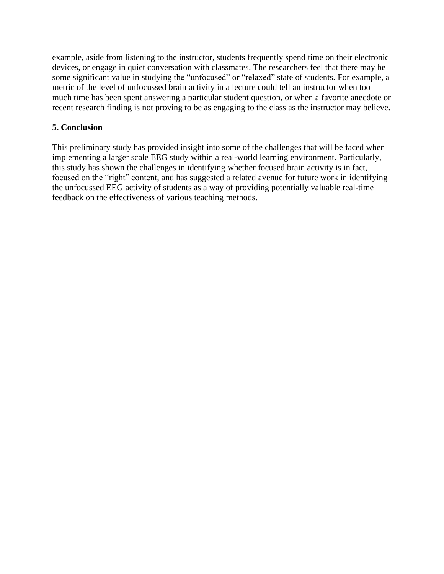example, aside from listening to the instructor, students frequently spend time on their electronic devices, or engage in quiet conversation with classmates. The researchers feel that there may be some significant value in studying the "unfocused" or "relaxed" state of students. For example, a metric of the level of unfocussed brain activity in a lecture could tell an instructor when too much time has been spent answering a particular student question, or when a favorite anecdote or recent research finding is not proving to be as engaging to the class as the instructor may believe.

## **5. Conclusion**

This preliminary study has provided insight into some of the challenges that will be faced when implementing a larger scale EEG study within a real-world learning environment. Particularly, this study has shown the challenges in identifying whether focused brain activity is in fact, focused on the "right" content, and has suggested a related avenue for future work in identifying the unfocussed EEG activity of students as a way of providing potentially valuable real-time feedback on the effectiveness of various teaching methods.